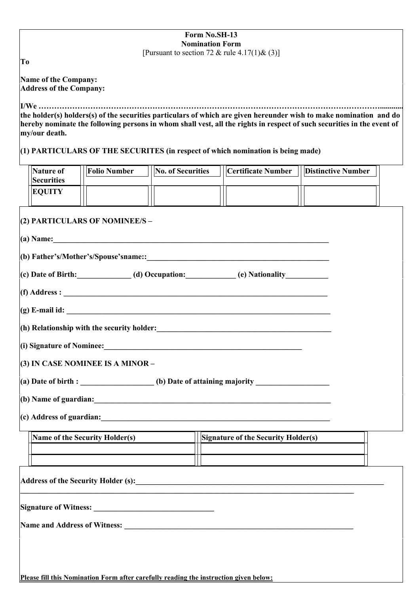| Form No.SH-13<br><b>Nomination Form</b>                                                                                                                                                                                                                       |
|---------------------------------------------------------------------------------------------------------------------------------------------------------------------------------------------------------------------------------------------------------------|
| [Pursuant to section 72 & rule $4.17(1)$ & (3)]<br>T <sub>0</sub>                                                                                                                                                                                             |
| Name of the Company:<br><b>Address of the Company:</b>                                                                                                                                                                                                        |
| the holder(s) holders(s) of the securities particulars of which are given hereunder wish to make nomination and do<br>hereby nominate the following persons in whom shall vest, all the rights in respect of such securities in the event of<br>my/our death. |
| $(1)$ PARTICULARS OF THE SECURITES (in respect of which nomination is being made)                                                                                                                                                                             |
| <b>No. of Securities</b><br>Nature of<br><b>Folio Number</b><br><b>Certificate Number</b><br><b>Distinctive Number</b><br><b>Securities</b>                                                                                                                   |
| <b>EQUITY</b>                                                                                                                                                                                                                                                 |
| (2) PARTICULARS OF NOMINEE/S -                                                                                                                                                                                                                                |
| (a) Name:                                                                                                                                                                                                                                                     |
|                                                                                                                                                                                                                                                               |
| $\vert$ (c) Date of Birth:______________(d) Occupation:____________(e) Nationality____________                                                                                                                                                                |
|                                                                                                                                                                                                                                                               |
|                                                                                                                                                                                                                                                               |
| $ $ (h) Relationship with the security holder:<br>$\frac{1}{2}$ = 0.000 m = 0.000 m = 0.000 m = 0.000 m = 0.000 m = 0.000 m = 0.000 m = 0.000 m = 0.000 m = 0.000 m = 0.000 m = 0.000 m = 0.000 m = 0.000 m = 0.000 m = 0.000 m = 0.0                         |
| (i) Signature of Nominee:<br><u>Letting</u> and the set of the set of Nominee:                                                                                                                                                                                |
| (3) IN CASE NOMINEE IS A MINOR -                                                                                                                                                                                                                              |
| (a) Date of birth : ________________(b) Date of attaining majority ______________                                                                                                                                                                             |
|                                                                                                                                                                                                                                                               |
| $(c)$ Address of guardian:                                                                                                                                                                                                                                    |
| Signature of the Security Holder(s)<br>Name of the Security Holder(s)                                                                                                                                                                                         |
|                                                                                                                                                                                                                                                               |
|                                                                                                                                                                                                                                                               |
|                                                                                                                                                                                                                                                               |
|                                                                                                                                                                                                                                                               |
|                                                                                                                                                                                                                                                               |
|                                                                                                                                                                                                                                                               |
| Please fill this Nomination Form after carefully reading the instruction given below:                                                                                                                                                                         |